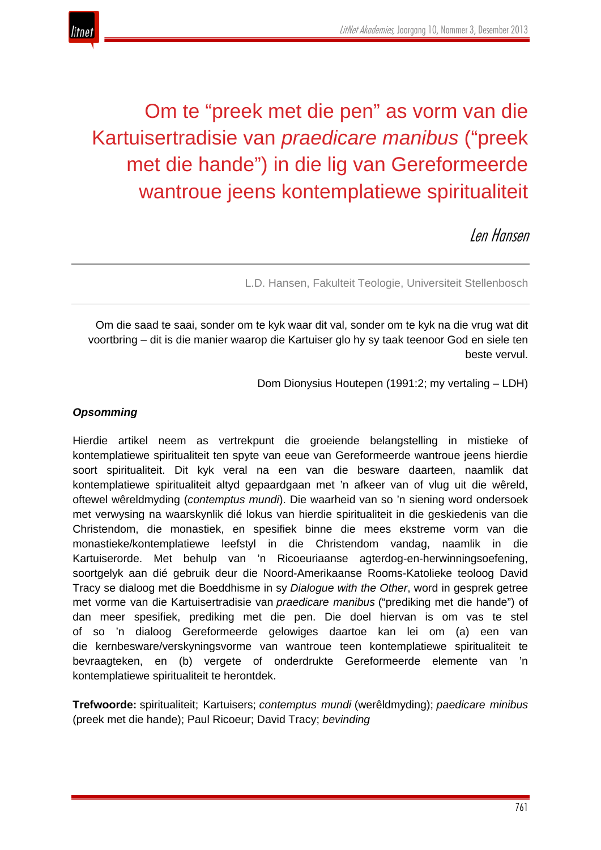

# Om te "preek met die pen" as vorm van die Kartuisertradisie van *praedicare manibus* ("preek met die hande") in die lig van Gereformeerde wantroue jeens kontemplatiewe spiritualiteit

Len Hansen

L.D. Hansen, Fakulteit Teologie, Universiteit Stellenbosch

Om die saad te saai, sonder om te kyk waar dit val, sonder om te kyk na die vrug wat dit voortbring – dit is die manier waarop die Kartuiser glo hy sy taak teenoor God en siele ten beste vervul.

Dom Dionysius Houtepen (1991:2; my vertaling – LDH)

## *Opsomming*

Hierdie artikel neem as vertrekpunt die groeiende belangstelling in mistieke of kontemplatiewe spiritualiteit ten spyte van eeue van Gereformeerde wantroue jeens hierdie soort spiritualiteit. Dit kyk veral na een van die besware daarteen, naamlik dat kontemplatiewe spiritualiteit altyd gepaardgaan met 'n afkeer van of vlug uit die wêreld, oftewel wêreldmyding (*contemptus mundi*). Die waarheid van so 'n siening word ondersoek met verwysing na waarskynlik dié lokus van hierdie spiritualiteit in die geskiedenis van die Christendom, die monastiek, en spesifiek binne die mees ekstreme vorm van die monastieke/kontemplatiewe leefstyl in die Christendom vandag, naamlik in die Kartuiserorde. Met behulp van 'n Ricoeuriaanse agterdog-en-herwinningsoefening, soortgelyk aan dié gebruik deur die Noord-Amerikaanse Rooms-Katolieke teoloog David Tracy se dialoog met die Boeddhisme in sy *Dialogue with the Other*, word in gesprek getree met vorme van die Kartuisertradisie van *praedicare manibus* ("prediking met die hande") of dan meer spesifiek, prediking met die pen. Die doel hiervan is om vas te stel of so 'n dialoog Gereformeerde gelowiges daartoe kan lei om (a) een van die kernbesware/verskyningsvorme van wantroue teen kontemplatiewe spiritualiteit te bevraagteken, en (b) vergete of onderdrukte Gereformeerde elemente van 'n kontemplatiewe spiritualiteit te herontdek.

**Trefwoorde:** spiritualiteit; Kartuisers; *contemptus mundi* (werêldmyding); *paedicare minibus* (preek met die hande); Paul Ricoeur; David Tracy; *bevinding*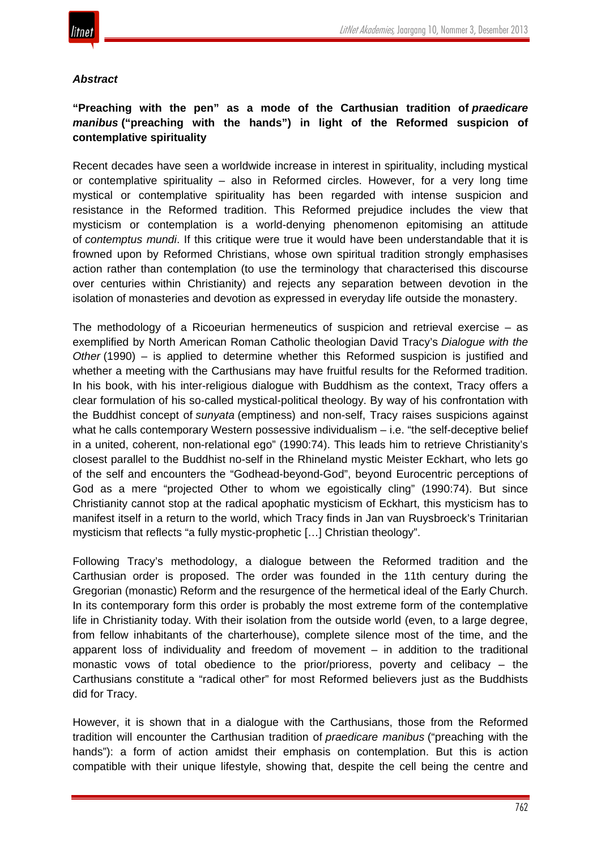

#### *Abstract*

# **"Preaching with the pen" as a mode of the Carthusian tradition of** *praedicare manibus* **("preaching with the hands") in light of the Reformed suspicion of contemplative spirituality**

Recent decades have seen a worldwide increase in interest in spirituality, including mystical or contemplative spirituality – also in Reformed circles. However, for a very long time mystical or contemplative spirituality has been regarded with intense suspicion and resistance in the Reformed tradition. This Reformed prejudice includes the view that mysticism or contemplation is a world-denying phenomenon epitomising an attitude of *contemptus mundi*. If this critique were true it would have been understandable that it is frowned upon by Reformed Christians, whose own spiritual tradition strongly emphasises action rather than contemplation (to use the terminology that characterised this discourse over centuries within Christianity) and rejects any separation between devotion in the isolation of monasteries and devotion as expressed in everyday life outside the monastery.

The methodology of a Ricoeurian hermeneutics of suspicion and retrieval exercise – as exemplified by North American Roman Catholic theologian David Tracy's *Dialogue with the Other* (1990) – is applied to determine whether this Reformed suspicion is justified and whether a meeting with the Carthusians may have fruitful results for the Reformed tradition. In his book, with his inter-religious dialogue with Buddhism as the context, Tracy offers a clear formulation of his so-called mystical-political theology. By way of his confrontation with the Buddhist concept of *sunyata* (emptiness) and non-self, Tracy raises suspicions against what he calls contemporary Western possessive individualism – i.e. "the self-deceptive belief in a united, coherent, non-relational ego" (1990:74). This leads him to retrieve Christianity's closest parallel to the Buddhist no-self in the Rhineland mystic Meister Eckhart, who lets go of the self and encounters the "Godhead-beyond-God", beyond Eurocentric perceptions of God as a mere "projected Other to whom we egoistically cling" (1990:74). But since Christianity cannot stop at the radical apophatic mysticism of Eckhart, this mysticism has to manifest itself in a return to the world, which Tracy finds in Jan van Ruysbroeck's Trinitarian mysticism that reflects "a fully mystic-prophetic […] Christian theology".

Following Tracy's methodology, a dialogue between the Reformed tradition and the Carthusian order is proposed. The order was founded in the 11th century during the Gregorian (monastic) Reform and the resurgence of the hermetical ideal of the Early Church. In its contemporary form this order is probably the most extreme form of the contemplative life in Christianity today. With their isolation from the outside world (even, to a large degree, from fellow inhabitants of the charterhouse), complete silence most of the time, and the apparent loss of individuality and freedom of movement  $-$  in addition to the traditional monastic vows of total obedience to the prior/prioress, poverty and celibacy – the Carthusians constitute a "radical other" for most Reformed believers just as the Buddhists did for Tracy.

However, it is shown that in a dialogue with the Carthusians, those from the Reformed tradition will encounter the Carthusian tradition of *praedicare manibus* ("preaching with the hands"): a form of action amidst their emphasis on contemplation. But this is action compatible with their unique lifestyle, showing that, despite the cell being the centre and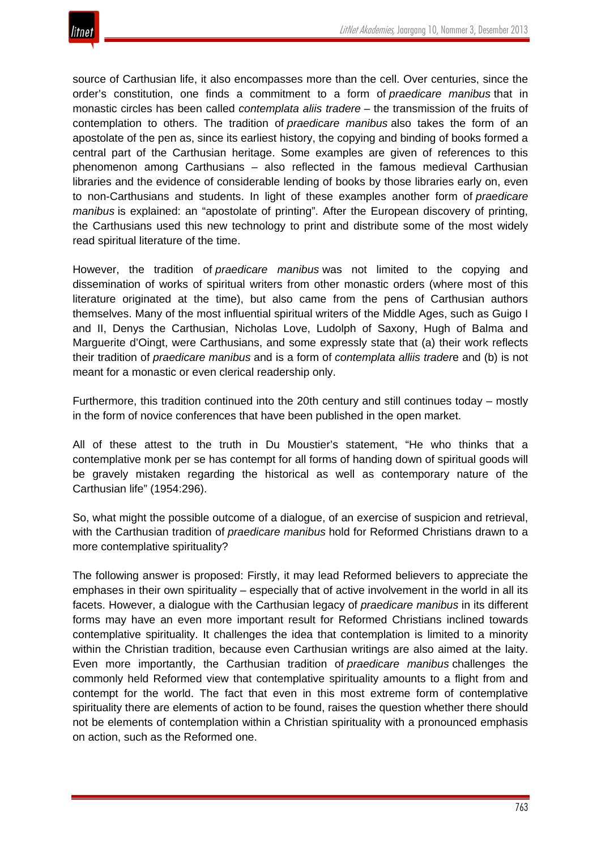

source of Carthusian life, it also encompasses more than the cell. Over centuries, since the order's constitution, one finds a commitment to a form of *praedicare manibus* that in monastic circles has been called *contemplata aliis tradere* – the transmission of the fruits of contemplation to others. The tradition of *praedicare manibus* also takes the form of an apostolate of the pen as, since its earliest history, the copying and binding of books formed a central part of the Carthusian heritage. Some examples are given of references to this phenomenon among Carthusians – also reflected in the famous medieval Carthusian libraries and the evidence of considerable lending of books by those libraries early on, even to non-Carthusians and students. In light of these examples another form of *praedicare manibus* is explained: an "apostolate of printing". After the European discovery of printing, the Carthusians used this new technology to print and distribute some of the most widely read spiritual literature of the time.

However, the tradition of *praedicare manibus* was not limited to the copying and dissemination of works of spiritual writers from other monastic orders (where most of this literature originated at the time), but also came from the pens of Carthusian authors themselves. Many of the most influential spiritual writers of the Middle Ages, such as Guigo I and II, Denys the Carthusian, Nicholas Love, Ludolph of Saxony, Hugh of Balma and Marguerite d'Oingt, were Carthusians, and some expressly state that (a) their work reflects their tradition of *praedicare manibus* and is a form of *contemplata alliis trader*e and (b) is not meant for a monastic or even clerical readership only.

Furthermore, this tradition continued into the 20th century and still continues today – mostly in the form of novice conferences that have been published in the open market.

All of these attest to the truth in Du Moustier's statement, "He who thinks that a contemplative monk per se has contempt for all forms of handing down of spiritual goods will be gravely mistaken regarding the historical as well as contemporary nature of the Carthusian life" (1954:296).

So, what might the possible outcome of a dialogue, of an exercise of suspicion and retrieval, with the Carthusian tradition of *praedicare manibus* hold for Reformed Christians drawn to a more contemplative spirituality?

The following answer is proposed: Firstly, it may lead Reformed believers to appreciate the emphases in their own spirituality – especially that of active involvement in the world in all its facets. However, a dialogue with the Carthusian legacy of *praedicare manibus* in its different forms may have an even more important result for Reformed Christians inclined towards contemplative spirituality. It challenges the idea that contemplation is limited to a minority within the Christian tradition, because even Carthusian writings are also aimed at the laity. Even more importantly, the Carthusian tradition of *praedicare manibus* challenges the commonly held Reformed view that contemplative spirituality amounts to a flight from and contempt for the world. The fact that even in this most extreme form of contemplative spirituality there are elements of action to be found, raises the question whether there should not be elements of contemplation within a Christian spirituality with a pronounced emphasis on action, such as the Reformed one.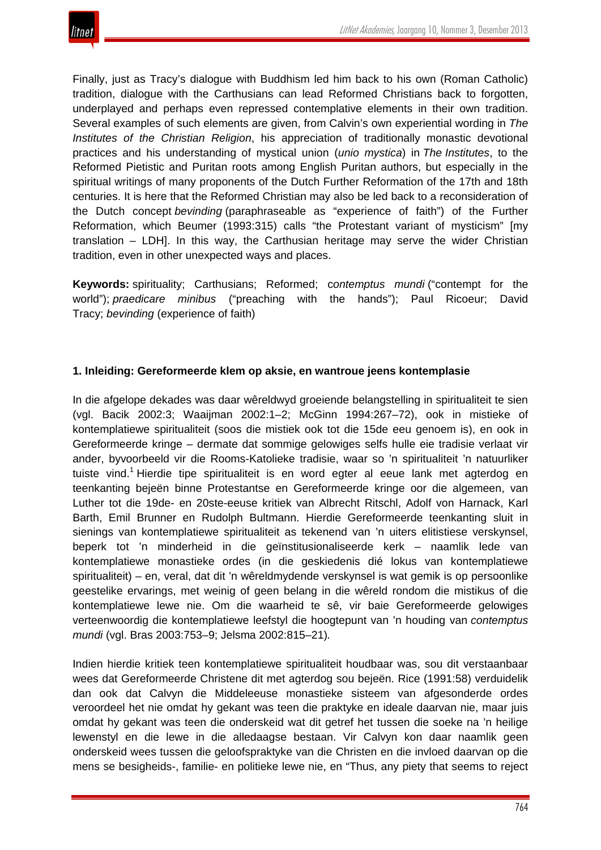

Finally, just as Tracy's dialogue with Buddhism led him back to his own (Roman Catholic) tradition, dialogue with the Carthusians can lead Reformed Christians back to forgotten, underplayed and perhaps even repressed contemplative elements in their own tradition. Several examples of such elements are given, from Calvin's own experiential wording in *The Institutes of the Christian Religion*, his appreciation of traditionally monastic devotional practices and his understanding of mystical union (*unio mystica*) in *The Institutes*, to the Reformed Pietistic and Puritan roots among English Puritan authors, but especially in the spiritual writings of many proponents of the Dutch Further Reformation of the 17th and 18th centuries. It is here that the Reformed Christian may also be led back to a reconsideration of the Dutch concept *bevinding* (paraphraseable as "experience of faith") of the Further Reformation, which Beumer (1993:315) calls "the Protestant variant of mysticism" [my translation – LDH]. In this way, the Carthusian heritage may serve the wider Christian tradition, even in other unexpected ways and places.

**Keywords:** spirituality; Carthusians; Reformed; c*ontemptus mundi* ("contempt for the world"); *praedicare minibus* ("preaching with the hands"); Paul Ricoeur; David Tracy; *bevinding* (experience of faith)

#### **1. Inleiding: Gereformeerde klem op aksie, en wantroue jeens kontemplasie**

In die afgelope dekades was daar wêreldwyd groeiende belangstelling in spiritualiteit te sien (vgl. Bacik 2002:3; Waaijman 2002:1–2; McGinn 1994:267–72), ook in mistieke of kontemplatiewe spiritualiteit (soos die mistiek ook tot die 15de eeu genoem is), en ook in Gereformeerde kringe – dermate dat sommige gelowiges selfs hulle eie tradisie verlaat vir ander, byvoorbeeld vir die Rooms-Katolieke tradisie, waar so 'n spiritualiteit 'n natuurliker tuiste vind.<sup>1</sup> Hierdie tipe spiritualiteit is en word egter al eeue lank met agterdog en teenkanting bejeën binne Protestantse en Gereformeerde kringe oor die algemeen, van Luther tot die 19de- en 20ste-eeuse kritiek van Albrecht Ritschl, Adolf von Harnack, Karl Barth, Emil Brunner en Rudolph Bultmann. Hierdie Gereformeerde teenkanting sluit in sienings van kontemplatiewe spiritualiteit as tekenend van 'n uiters elitistiese verskynsel, beperk tot 'n minderheid in die geïnstitusionaliseerde kerk – naamlik lede van kontemplatiewe monastieke ordes (in die geskiedenis dié lokus van kontemplatiewe spiritualiteit) – en, veral, dat dit 'n wêreldmydende verskynsel is wat gemik is op persoonlike geestelike ervarings, met weinig of geen belang in die wêreld rondom die mistikus of die kontemplatiewe lewe nie. Om die waarheid te sê, vir baie Gereformeerde gelowiges verteenwoordig die kontemplatiewe leefstyl die hoogtepunt van 'n houding van *contemptus mundi* (vgl. Bras 2003:753–9; Jelsma 2002:815–21)*.*

Indien hierdie kritiek teen kontemplatiewe spiritualiteit houdbaar was, sou dit verstaanbaar wees dat Gereformeerde Christene dit met agterdog sou bejeën. Rice (1991:58) verduidelik dan ook dat Calvyn die Middeleeuse monastieke sisteem van afgesonderde ordes veroordeel het nie omdat hy gekant was teen die praktyke en ideale daarvan nie, maar juis omdat hy gekant was teen die onderskeid wat dit getref het tussen die soeke na 'n heilige lewenstyl en die lewe in die alledaagse bestaan. Vir Calvyn kon daar naamlik geen onderskeid wees tussen die geloofspraktyke van die Christen en die invloed daarvan op die mens se besigheids-, familie- en politieke lewe nie, en "Thus, any piety that seems to reject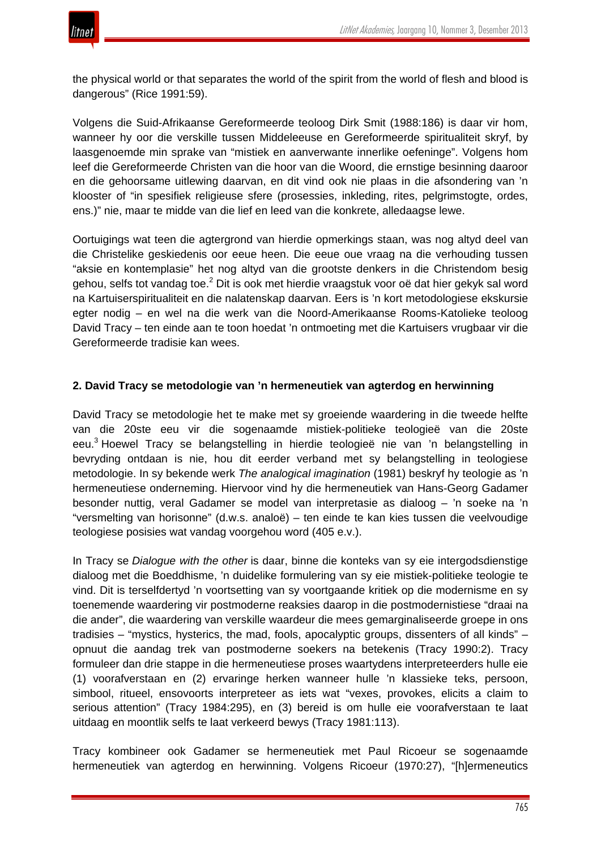the physical world or that separates the world of the spirit from the world of flesh and blood is dangerous" (Rice 1991:59).

Volgens die Suid-Afrikaanse Gereformeerde teoloog Dirk Smit (1988:186) is daar vir hom, wanneer hy oor die verskille tussen Middeleeuse en Gereformeerde spiritualiteit skryf, by laasgenoemde min sprake van "mistiek en aanverwante innerlike oefeninge". Volgens hom leef die Gereformeerde Christen van die hoor van die Woord, die ernstige besinning daaroor en die gehoorsame uitlewing daarvan, en dit vind ook nie plaas in die afsondering van 'n klooster of "in spesifiek religieuse sfere (prosessies, inkleding, rites, pelgrimstogte, ordes, ens.)" nie, maar te midde van die lief en leed van die konkrete, alledaagse lewe.

Oortuigings wat teen die agtergrond van hierdie opmerkings staan, was nog altyd deel van die Christelike geskiedenis oor eeue heen. Die eeue oue vraag na die verhouding tussen "aksie en kontemplasie" het nog altyd van die grootste denkers in die Christendom besig gehou, selfs tot vandag toe.<sup>2</sup> Dit is ook met hierdie vraagstuk voor oë dat hier gekyk sal word na Kartuiserspiritualiteit en die nalatenskap daarvan. Eers is 'n kort metodologiese ekskursie egter nodig – en wel na die werk van die Noord-Amerikaanse Rooms-Katolieke teoloog David Tracy – ten einde aan te toon hoedat 'n ontmoeting met die Kartuisers vrugbaar vir die Gereformeerde tradisie kan wees.

## **2. David Tracy se metodologie van 'n hermeneutiek van agterdog en herwinning**

David Tracy se metodologie het te make met sy groeiende waardering in die tweede helfte van die 20ste eeu vir die sogenaamde mistiek-politieke teologieë van die 20ste eeu.<sup>3</sup> Hoewel Tracy se belangstelling in hierdie teologieë nie van 'n belangstelling in bevryding ontdaan is nie, hou dit eerder verband met sy belangstelling in teologiese metodologie. In sy bekende werk *The analogical imagination* (1981) beskryf hy teologie as 'n hermeneutiese onderneming. Hiervoor vind hy die hermeneutiek van Hans-Georg Gadamer besonder nuttig, veral Gadamer se model van interpretasie as dialoog – 'n soeke na 'n "versmelting van horisonne" (d.w.s. analoë) – ten einde te kan kies tussen die veelvoudige teologiese posisies wat vandag voorgehou word (405 e.v.).

In Tracy se *Dialogue with the other* is daar, binne die konteks van sy eie intergodsdienstige dialoog met die Boeddhisme, 'n duidelike formulering van sy eie mistiek-politieke teologie te vind. Dit is terselfdertyd 'n voortsetting van sy voortgaande kritiek op die modernisme en sy toenemende waardering vir postmoderne reaksies daarop in die postmodernistiese "draai na die ander", die waardering van verskille waardeur die mees gemarginaliseerde groepe in ons tradisies – "mystics, hysterics, the mad, fools, apocalyptic groups, dissenters of all kinds" – opnuut die aandag trek van postmoderne soekers na betekenis (Tracy 1990:2). Tracy formuleer dan drie stappe in die hermeneutiese proses waartydens interpreteerders hulle eie (1) voorafverstaan en (2) ervaringe herken wanneer hulle 'n klassieke teks, persoon, simbool, ritueel, ensovoorts interpreteer as iets wat "vexes, provokes, elicits a claim to serious attention" (Tracy 1984:295), en (3) bereid is om hulle eie voorafverstaan te laat uitdaag en moontlik selfs te laat verkeerd bewys (Tracy 1981:113).

Tracy kombineer ook Gadamer se hermeneutiek met Paul Ricoeur se sogenaamde hermeneutiek van agterdog en herwinning. Volgens Ricoeur (1970:27), "[h]ermeneutics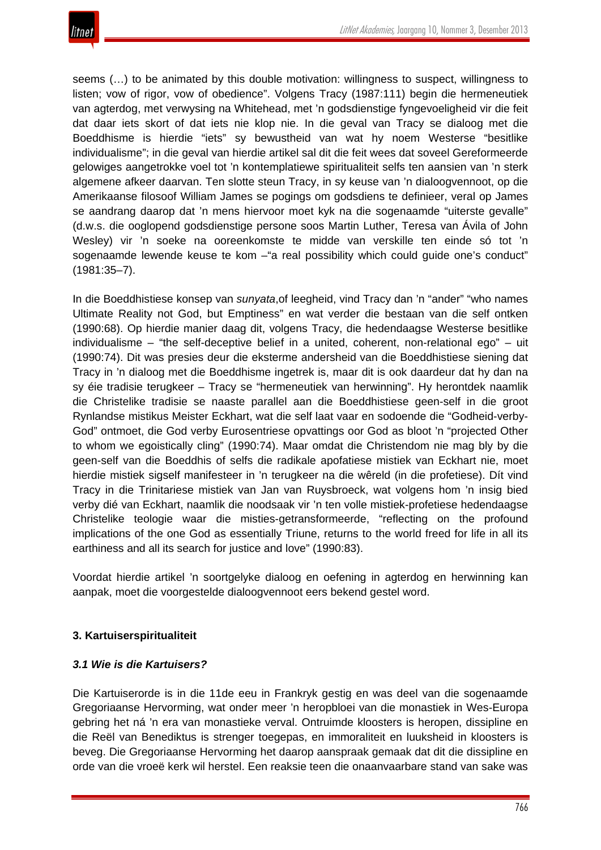seems (…) to be animated by this double motivation: willingness to suspect, willingness to listen; vow of rigor, vow of obedience". Volgens Tracy (1987:111) begin die hermeneutiek van agterdog, met verwysing na Whitehead, met 'n godsdienstige fyngevoeligheid vir die feit dat daar iets skort of dat iets nie klop nie. In die geval van Tracy se dialoog met die Boeddhisme is hierdie "iets" sy bewustheid van wat hy noem Westerse "besitlike individualisme"; in die geval van hierdie artikel sal dit die feit wees dat soveel Gereformeerde gelowiges aangetrokke voel tot 'n kontemplatiewe spiritualiteit selfs ten aansien van 'n sterk algemene afkeer daarvan. Ten slotte steun Tracy, in sy keuse van 'n dialoogvennoot, op die Amerikaanse filosoof William James se pogings om godsdiens te definieer, veral op James se aandrang daarop dat 'n mens hiervoor moet kyk na die sogenaamde "uiterste gevalle" (d.w.s. die ooglopend godsdienstige persone soos Martin Luther, Teresa van Ávila of John Wesley) vir 'n soeke na ooreenkomste te midde van verskille ten einde só tot 'n sogenaamde lewende keuse te kom - "a real possibility which could guide one's conduct" (1981:35–7).

In die Boeddhistiese konsep van *sunyata*,of leegheid, vind Tracy dan 'n "ander" "who names Ultimate Reality not God, but Emptiness" en wat verder die bestaan van die self ontken (1990:68). Op hierdie manier daag dit, volgens Tracy, die hedendaagse Westerse besitlike individualisme – "the self-deceptive belief in a united, coherent, non-relational ego" – uit (1990:74). Dit was presies deur die eksterme andersheid van die Boeddhistiese siening dat Tracy in 'n dialoog met die Boeddhisme ingetrek is, maar dit is ook daardeur dat hy dan na sy éie tradisie terugkeer – Tracy se "hermeneutiek van herwinning". Hy herontdek naamlik die Christelike tradisie se naaste parallel aan die Boeddhistiese geen-self in die groot Rynlandse mistikus Meister Eckhart, wat die self laat vaar en sodoende die "Godheid-verby-God" ontmoet, die God verby Eurosentriese opvattings oor God as bloot 'n "projected Other to whom we egoistically cling" (1990:74). Maar omdat die Christendom nie mag bly by die geen-self van die Boeddhis of selfs die radikale apofatiese mistiek van Eckhart nie, moet hierdie mistiek sigself manifesteer in 'n terugkeer na die wêreld (in die profetiese). Dít vind Tracy in die Trinitariese mistiek van Jan van Ruysbroeck, wat volgens hom 'n insig bied verby dié van Eckhart, naamlik die noodsaak vir 'n ten volle mistiek-profetiese hedendaagse Christelike teologie waar die misties-getransformeerde, "reflecting on the profound implications of the one God as essentially Triune, returns to the world freed for life in all its earthiness and all its search for justice and love" (1990:83).

Voordat hierdie artikel 'n soortgelyke dialoog en oefening in agterdog en herwinning kan aanpak, moet die voorgestelde dialoogvennoot eers bekend gestel word.

# **3. Kartuiserspiritualiteit**

# *3.1 Wie is die Kartuisers?*

Die Kartuiserorde is in die 11de eeu in Frankryk gestig en was deel van die sogenaamde Gregoriaanse Hervorming, wat onder meer 'n heropbloei van die monastiek in Wes-Europa gebring het ná 'n era van monastieke verval. Ontruimde kloosters is heropen, dissipline en die Reël van Benediktus is strenger toegepas, en immoraliteit en luuksheid in kloosters is beveg. Die Gregoriaanse Hervorming het daarop aanspraak gemaak dat dit die dissipline en orde van die vroeë kerk wil herstel. Een reaksie teen die onaanvaarbare stand van sake was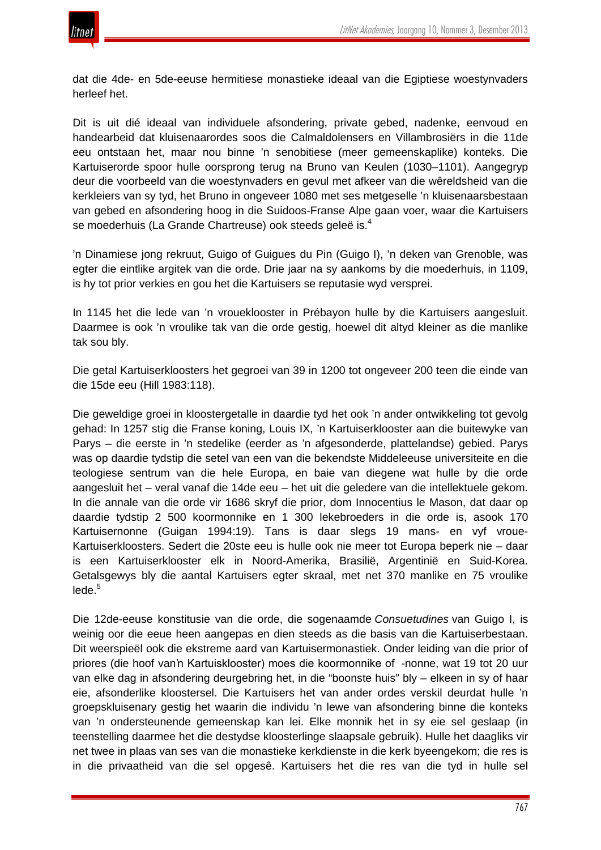dat die 4de- en 5de-eeuse hermitiese monastieke ideaal van die Egiptiese woestynvaders herleef het.

Dit is uit dié ideaal van individuele afsondering, private gebed, nadenke, eenvoud en handearbeid dat kluisenaarordes soos die Calmaldolensers en Villambrosiërs in die 11de eeu ontstaan het, maar nou binne 'n senobitiese (meer gemeenskaplike) konteks. Die Kartuiserorde spoor hulle oorsprong terug na Bruno van Keulen (1030–1101). Aangegryp deur die voorbeeld van die woestynvaders en gevul met afkeer van die wêreldsheid van die kerkleiers van sy tyd, het Bruno in ongeveer 1080 met ses metgeselle 'n kluisenaarsbestaan van gebed en afsondering hoog in die Suidoos-Franse Alpe gaan voer, waar die Kartuisers se moederhuis (La Grande Chartreuse) ook steeds geleë is.<sup>4</sup>

'n Dinamiese jong rekruut, Guigo of Guigues du Pin (Guigo I), 'n deken van Grenoble, was egter die eintlike argitek van die orde. Drie jaar na sy aankoms by die moederhuis, in 1109, is hy tot prior verkies en gou het die Kartuisers se reputasie wyd versprei.

In 1145 het die lede van 'n vroueklooster in Prébayon hulle by die Kartuisers aangesluit. Daarmee is ook 'n vroulike tak van die orde gestig, hoewel dit altyd kleiner as die manlike tak sou bly.

Die getal Kartuiserkloosters het gegroei van 39 in 1200 tot ongeveer 200 teen die einde van die 15de eeu (Hill 1983:118).

Die geweldige groei in kloostergetalle in daardie tyd het ook 'n ander ontwikkeling tot gevolg gehad: In 1257 stig die Franse koning, Louis IX, 'n Kartuiserklooster aan die buitewyke van Parys – die eerste in 'n stedelike (eerder as 'n afgesonderde, plattelandse) gebied. Parys was op daardie tydstip die setel van een van die bekendste Middeleeuse universiteite en die teologiese sentrum van die hele Europa, en baie van diegene wat hulle by die orde aangesluit het – veral vanaf die 14de eeu – het uit die geledere van die intellektuele gekom. In die annale van die orde vir 1686 skryf die prior, dom Innocentius le Mason, dat daar op daardie tydstip 2 500 koormonnike en 1 300 lekebroeders in die orde is, asook 170 Kartuisernonne (Guigan 1994:19). Tans is daar slegs 19 mans- en vyf vroue-Kartuiserkloosters. Sedert die 20ste eeu is hulle ook nie meer tot Europa beperk nie – daar is een Kartuiserklooster elk in Noord-Amerika, Brasilië, Argentinië en Suid-Korea. Getalsgewys bly die aantal Kartuisers egter skraal, met net 370 manlike en 75 vroulike  $lede.<sup>5</sup>$ 

Die 12de-eeuse konstitusie van die orde, die sogenaamde *Consuetudines* van Guigo I, is weinig oor die eeue heen aangepas en dien steeds as die basis van die Kartuiserbestaan. Dit weerspieël ook die ekstreme aard van Kartuisermonastiek. Onder leiding van die prior of priores (die hoof van 'n Kartuisklooster) moes die koormonnike of -nonne, wat 19 tot 20 uur van elke dag in afsondering deurgebring het, in die "boonste huis" bly – elkeen in sy of haar eie, afsonderlike kloostersel. Die Kartuisers het van ander ordes verskil deurdat hulle 'n groepskluisenary gestig het waarin die individu 'n lewe van afsondering binne die konteks van 'n ondersteunende gemeenskap kan lei. Elke monnik het in sy eie sel geslaap (in teenstelling daarmee het die destydse kloosterlinge slaapsale gebruik). Hulle het daagliks vir net twee in plaas van ses van die monastieke kerkdienste in die kerk byeengekom; die res is in die privaatheid van die sel opgesê. Kartuisers het die res van die tyd in hulle sel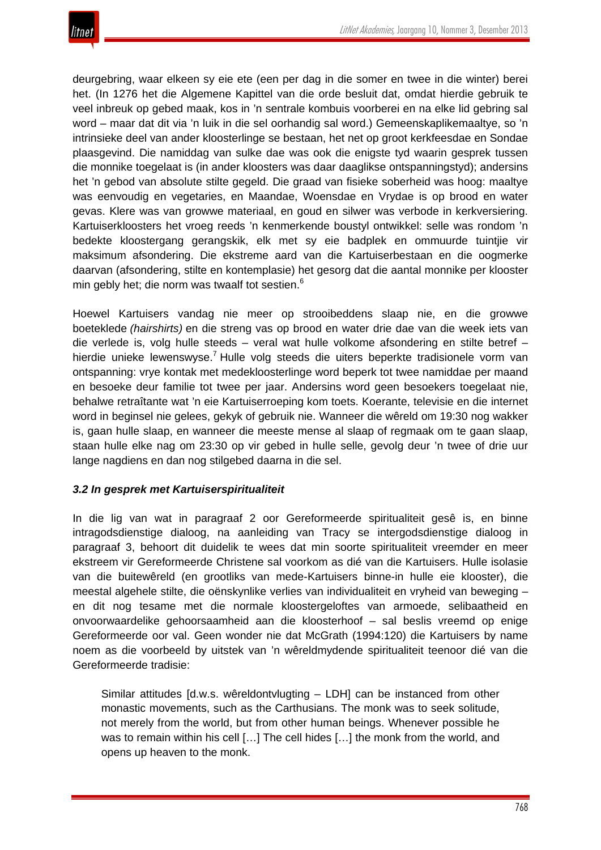

deurgebring, waar elkeen sy eie ete (een per dag in die somer en twee in die winter) berei het. (In 1276 het die Algemene Kapittel van die orde besluit dat, omdat hierdie gebruik te veel inbreuk op gebed maak, kos in 'n sentrale kombuis voorberei en na elke lid gebring sal word – maar dat dit via 'n luik in die sel oorhandig sal word.) Gemeenskaplikemaaltye, so 'n intrinsieke deel van ander kloosterlinge se bestaan, het net op groot kerkfeesdae en Sondae plaasgevind. Die namiddag van sulke dae was ook die enigste tyd waarin gesprek tussen die monnike toegelaat is (in ander kloosters was daar daaglikse ontspanningstyd); andersins het 'n gebod van absolute stilte gegeld. Die graad van fisieke soberheid was hoog: maaltye was eenvoudig en vegetaries, en Maandae, Woensdae en Vrydae is op brood en water gevas. Klere was van growwe materiaal, en goud en silwer was verbode in kerkversiering. Kartuiserkloosters het vroeg reeds 'n kenmerkende boustyl ontwikkel: selle was rondom 'n bedekte kloostergang gerangskik, elk met sy eie badplek en ommuurde tuintjie vir maksimum afsondering. Die ekstreme aard van die Kartuiserbestaan en die oogmerke daarvan (afsondering, stilte en kontemplasie) het gesorg dat die aantal monnike per klooster min gebly het; die norm was twaalf tot sestien.<sup>6</sup>

Hoewel Kartuisers vandag nie meer op strooibeddens slaap nie, en die growwe boeteklede *(hairshirts)* en die streng vas op brood en water drie dae van die week iets van die verlede is, volg hulle steeds – veral wat hulle volkome afsondering en stilte betref – hierdie unieke lewenswyse.<sup>7</sup> Hulle volg steeds die uiters beperkte tradisionele vorm van ontspanning: vrye kontak met medekloosterlinge word beperk tot twee namiddae per maand en besoeke deur familie tot twee per jaar. Andersins word geen besoekers toegelaat nie, behalwe retraîtante wat 'n eie Kartuiserroeping kom toets. Koerante, televisie en die internet word in beginsel nie gelees, gekyk of gebruik nie. Wanneer die wêreld om 19:30 nog wakker is, gaan hulle slaap, en wanneer die meeste mense al slaap of regmaak om te gaan slaap, staan hulle elke nag om 23:30 op vir gebed in hulle selle, gevolg deur 'n twee of drie uur lange nagdiens en dan nog stilgebed daarna in die sel.

#### *3.2 In gesprek met Kartuiserspiritualiteit*

In die lig van wat in paragraaf 2 oor Gereformeerde spiritualiteit gesê is, en binne intragodsdienstige dialoog, na aanleiding van Tracy se intergodsdienstige dialoog in paragraaf 3, behoort dit duidelik te wees dat min soorte spiritualiteit vreemder en meer ekstreem vir Gereformeerde Christene sal voorkom as dié van die Kartuisers. Hulle isolasie van die buitewêreld (en grootliks van mede-Kartuisers binne-in hulle eie klooster), die meestal algehele stilte, die oënskynlike verlies van individualiteit en vryheid van beweging – en dit nog tesame met die normale kloostergeloftes van armoede, selibaatheid en onvoorwaardelike gehoorsaamheid aan die kloosterhoof – sal beslis vreemd op enige Gereformeerde oor val. Geen wonder nie dat McGrath (1994:120) die Kartuisers by name noem as die voorbeeld by uitstek van 'n wêreldmydende spiritualiteit teenoor dié van die Gereformeerde tradisie:

Similar attitudes [d.w.s. wêreldontvlugting – LDH] can be instanced from other monastic movements, such as the Carthusians. The monk was to seek solitude, not merely from the world, but from other human beings. Whenever possible he was to remain within his cell [...] The cell hides [...] the monk from the world, and opens up heaven to the monk.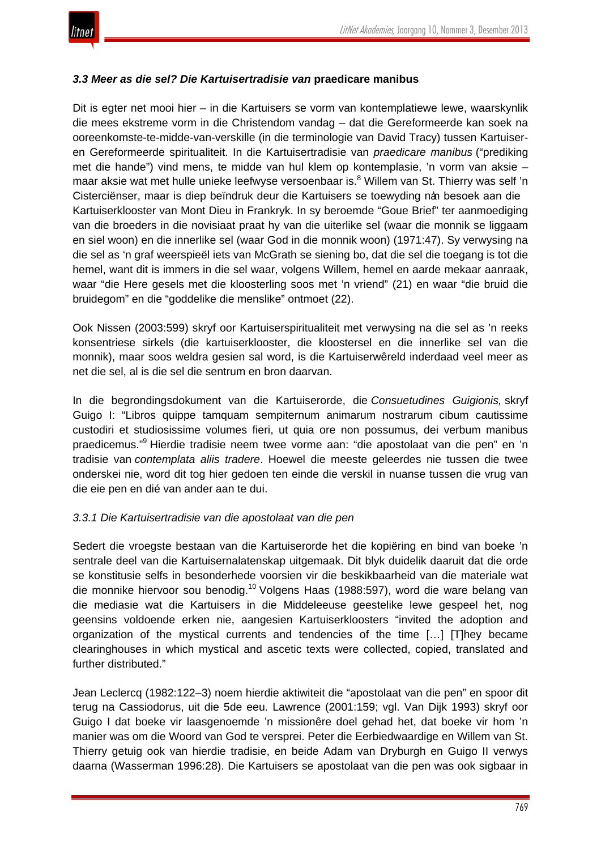

#### *3.3 Meer as die sel? Die Kartuisertradisie van* **praedicare manibus**

Dit is egter net mooi hier – in die Kartuisers se vorm van kontemplatiewe lewe, waarskynlik die mees ekstreme vorm in die Christendom vandag – dat die Gereformeerde kan soek na ooreenkomste-te-midde-van-verskille (in die terminologie van David Tracy) tussen Kartuiseren Gereformeerde spiritualiteit. In die Kartuisertradisie van *praedicare manibus* ("prediking met die hande") vind mens, te midde van hul klem op kontemplasie, 'n vorm van aksie – maar aksie wat met hulle unieke leefwyse versoenbaar is.<sup>8</sup> Willem van St. Thierry was self 'n Cisterciënser, maar is diep beïndruk deur die Kartuisers se toewyding nan besoek aan die Kartuiserklooster van Mont Dieu in Frankryk. In sy beroemde "Goue Brief" ter aanmoediging van die broeders in die novisiaat praat hy van die uiterlike sel (waar die monnik se liggaam en siel woon) en die innerlike sel (waar God in die monnik woon) (1971:47). Sy verwysing na die sel as 'n graf weerspieël iets van McGrath se siening bo, dat die sel die toegang is tot die hemel, want dit is immers in die sel waar, volgens Willem, hemel en aarde mekaar aanraak, waar "die Here gesels met die kloosterling soos met 'n vriend" (21) en waar "die bruid die bruidegom" en die "goddelike die menslike" ontmoet (22).

Ook Nissen (2003:599) skryf oor Kartuiserspiritualiteit met verwysing na die sel as 'n reeks konsentriese sirkels (die kartuiserklooster, die kloostersel en die innerlike sel van die monnik), maar soos weldra gesien sal word, is die Kartuiserwêreld inderdaad veel meer as net die sel, al is die sel die sentrum en bron daarvan.

In die begrondingsdokument van die Kartuiserorde, die *Consuetudines Guigionis,* skryf Guigo I: "Libros quippe tamquam sempiternum animarum nostrarum cibum cautissime custodiri et studiosissime volumes fieri, ut quia ore non possumus, dei verbum manibus praedicemus."<sup>9</sup> Hierdie tradisie neem twee vorme aan: "die apostolaat van die pen" en 'n tradisie van *contemplata aliis tradere*. Hoewel die meeste geleerdes nie tussen die twee onderskei nie, word dit tog hier gedoen ten einde die verskil in nuanse tussen die vrug van die eie pen en dié van ander aan te dui.

#### *3.3.1 Die Kartuisertradisie van die apostolaat van die pen*

Sedert die vroegste bestaan van die Kartuiserorde het die kopiëring en bind van boeke 'n sentrale deel van die Kartuisernalatenskap uitgemaak. Dit blyk duidelik daaruit dat die orde se konstitusie selfs in besonderhede voorsien vir die beskikbaarheid van die materiale wat die monnike hiervoor sou benodig.<sup>10</sup> Volgens Haas (1988:597), word die ware belang van die mediasie wat die Kartuisers in die Middeleeuse geestelike lewe gespeel het, nog geensins voldoende erken nie, aangesien Kartuiserkloosters "invited the adoption and organization of the mystical currents and tendencies of the time […] [T]hey became clearinghouses in which mystical and ascetic texts were collected, copied, translated and further distributed."

Jean Leclercq (1982:122–3) noem hierdie aktiwiteit die "apostolaat van die pen" en spoor dit terug na Cassiodorus, uit die 5de eeu. Lawrence (2001:159; vgl. Van Dijk 1993) skryf oor Guigo I dat boeke vir laasgenoemde 'n missionêre doel gehad het, dat boeke vir hom 'n manier was om die Woord van God te versprei. Peter die Eerbiedwaardige en Willem van St. Thierry getuig ook van hierdie tradisie, en beide Adam van Dryburgh en Guigo II verwys daarna (Wasserman 1996:28). Die Kartuisers se apostolaat van die pen was ook sigbaar in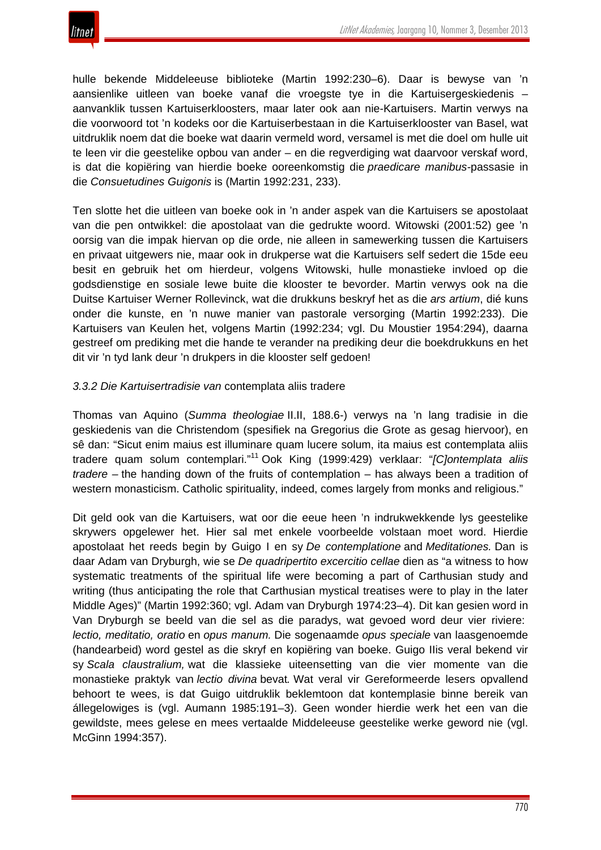hulle bekende Middeleeuse biblioteke (Martin 1992:230–6). Daar is bewyse van 'n aansienlike uitleen van boeke vanaf die vroegste tye in die Kartuisergeskiedenis – aanvanklik tussen Kartuiserkloosters, maar later ook aan nie-Kartuisers. Martin verwys na die voorwoord tot 'n kodeks oor die Kartuiserbestaan in die Kartuiserklooster van Basel, wat uitdruklik noem dat die boeke wat daarin vermeld word, versamel is met die doel om hulle uit te leen vir die geestelike opbou van ander – en die regverdiging wat daarvoor verskaf word, is dat die kopiëring van hierdie boeke ooreenkomstig die *praedicare manibus-*passasie in die *Consuetudines Guigonis* is (Martin 1992:231, 233).

Ten slotte het die uitleen van boeke ook in 'n ander aspek van die Kartuisers se apostolaat van die pen ontwikkel: die apostolaat van die gedrukte woord. Witowski (2001:52) gee 'n oorsig van die impak hiervan op die orde, nie alleen in samewerking tussen die Kartuisers en privaat uitgewers nie, maar ook in drukperse wat die Kartuisers self sedert die 15de eeu besit en gebruik het om hierdeur, volgens Witowski, hulle monastieke invloed op die godsdienstige en sosiale lewe buite die klooster te bevorder. Martin verwys ook na die Duitse Kartuiser Werner Rollevinck, wat die drukkuns beskryf het as die *ars artium*, dié kuns onder die kunste, en 'n nuwe manier van pastorale versorging (Martin 1992:233). Die Kartuisers van Keulen het, volgens Martin (1992:234; vgl. Du Moustier 1954:294), daarna gestreef om prediking met die hande te verander na prediking deur die boekdrukkuns en het dit vir 'n tyd lank deur 'n drukpers in die klooster self gedoen!

## *3.3.2 Die Kartuisertradisie van* contemplata aliis tradere

Thomas van Aquino (*Summa theologiae* II.II, 188.6-) verwys na 'n lang tradisie in die geskiedenis van die Christendom (spesifiek na Gregorius die Grote as gesag hiervoor), en sê dan: "Sicut enim maius est illuminare quam lucere solum, ita maius est contemplata aliis tradere quam solum contemplari."<sup>11</sup> Ook King (1999:429) verklaar: "*[C]ontemplata aliis tradere –* the handing down of the fruits of contemplation – has always been a tradition of western monasticism. Catholic spirituality, indeed, comes largely from monks and religious."

Dit geld ook van die Kartuisers, wat oor die eeue heen 'n indrukwekkende lys geestelike skrywers opgelewer het. Hier sal met enkele voorbeelde volstaan moet word. Hierdie apostolaat het reeds begin by Guigo I en sy *De contemplatione* and *Meditationes.* Dan is daar Adam van Dryburgh, wie se *De quadripertito excercitio cellae* dien as "a witness to how systematic treatments of the spiritual life were becoming a part of Carthusian study and writing (thus anticipating the role that Carthusian mystical treatises were to play in the later Middle Ages)" (Martin 1992:360; vgl. Adam van Dryburgh 1974:23–4). Dit kan gesien word in Van Dryburgh se beeld van die sel as die paradys, wat gevoed word deur vier riviere: *lectio, meditatio, oratio* en *opus manum.* Die sogenaamde *opus speciale* van laasgenoemde (handearbeid) word gestel as die skryf en kopiëring van boeke. Guigo IIis veral bekend vir sy *Scala claustralium,* wat die klassieke uiteensetting van die vier momente van die monastieke praktyk van *lectio divina* bevat*.* Wat veral vir Gereformeerde lesers opvallend behoort te wees, is dat Guigo uitdruklik beklemtoon dat kontemplasie binne bereik van állegelowiges is (vgl. Aumann 1985:191–3). Geen wonder hierdie werk het een van die gewildste, mees gelese en mees vertaalde Middeleeuse geestelike werke geword nie (vgl. McGinn 1994:357).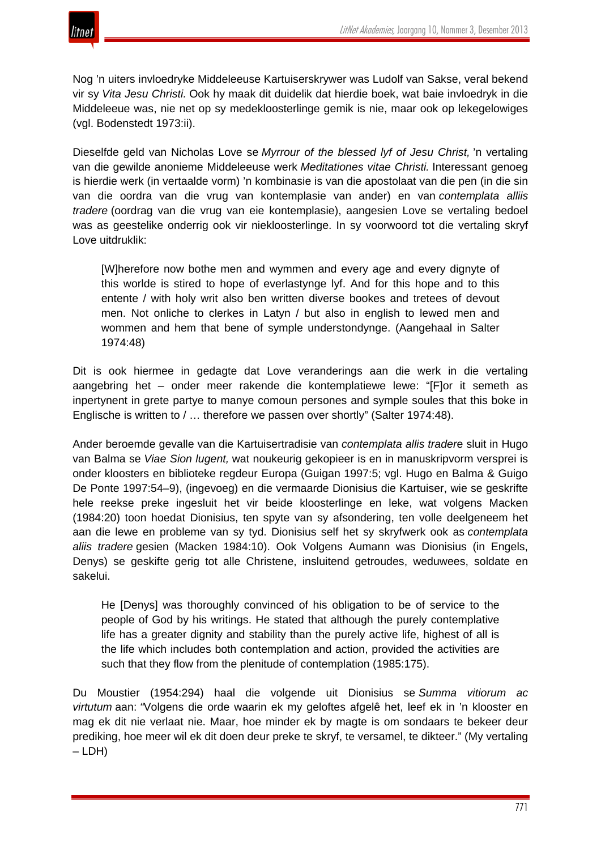

Nog 'n uiters invloedryke Middeleeuse Kartuiserskrywer was Ludolf van Sakse, veral bekend vir sy *Vita Jesu Christi.* Ook hy maak dit duidelik dat hierdie boek, wat baie invloedryk in die Middeleeue was, nie net op sy medekloosterlinge gemik is nie, maar ook op lekegelowiges (vgl. Bodenstedt 1973:ii).

Dieselfde geld van Nicholas Love se *Myrrour of the blessed lyf of Jesu Christ,* 'n vertaling van die gewilde anonieme Middeleeuse werk *Meditationes vitae Christi.* Interessant genoeg is hierdie werk (in vertaalde vorm) 'n kombinasie is van die apostolaat van die pen (in die sin van die oordra van die vrug van kontemplasie van ander) en van *contemplata alliis tradere* (oordrag van die vrug van eie kontemplasie), aangesien Love se vertaling bedoel was as geestelike onderrig ook vir niekloosterlinge. In sy voorwoord tot die vertaling skryf Love uitdruklik:

[W]herefore now bothe men and wymmen and every age and every dignyte of this worlde is stired to hope of everlastynge lyf. And for this hope and to this entente / with holy writ also ben written diverse bookes and tretees of devout men. Not onliche to clerkes in Latyn / but also in english to lewed men and wommen and hem that bene of symple understondynge. (Aangehaal in Salter 1974:48)

Dit is ook hiermee in gedagte dat Love veranderings aan die werk in die vertaling aangebring het – onder meer rakende die kontemplatiewe lewe: "[F]or it semeth as inpertynent in grete partye to manye comoun persones and symple soules that this boke in Englische is written to / … therefore we passen over shortly" (Salter 1974:48).

Ander beroemde gevalle van die Kartuisertradisie van *contemplata allis trader*e sluit in Hugo van Balma se *Viae Sion lugent,* wat noukeurig gekopieer is en in manuskripvorm versprei is onder kloosters en biblioteke regdeur Europa (Guigan 1997:5; vgl. Hugo en Balma & Guigo De Ponte 1997:54–9), (ingevoeg) en die vermaarde Dionisius die Kartuiser, wie se geskrifte hele reekse preke ingesluit het vir beide kloosterlinge en leke, wat volgens Macken (1984:20) toon hoedat Dionisius, ten spyte van sy afsondering, ten volle deelgeneem het aan die lewe en probleme van sy tyd. Dionisius self het sy skryfwerk ook as *contemplata aliis tradere* gesien (Macken 1984:10). Ook Volgens Aumann was Dionisius (in Engels, Denys) se geskifte gerig tot alle Christene, insluitend getroudes, weduwees, soldate en sakelui.

He [Denys] was thoroughly convinced of his obligation to be of service to the people of God by his writings. He stated that although the purely contemplative life has a greater dignity and stability than the purely active life, highest of all is the life which includes both contemplation and action, provided the activities are such that they flow from the plenitude of contemplation (1985:175).

Du Moustier (1954:294) haal die volgende uit Dionisius se *Summa vitiorum ac virtutum* aan: *"*Volgens die orde waarin ek my geloftes afgelê het, leef ek in 'n klooster en mag ek dit nie verlaat nie. Maar, hoe minder ek by magte is om sondaars te bekeer deur prediking, hoe meer wil ek dit doen deur preke te skryf, te versamel, te dikteer." (My vertaling – LDH)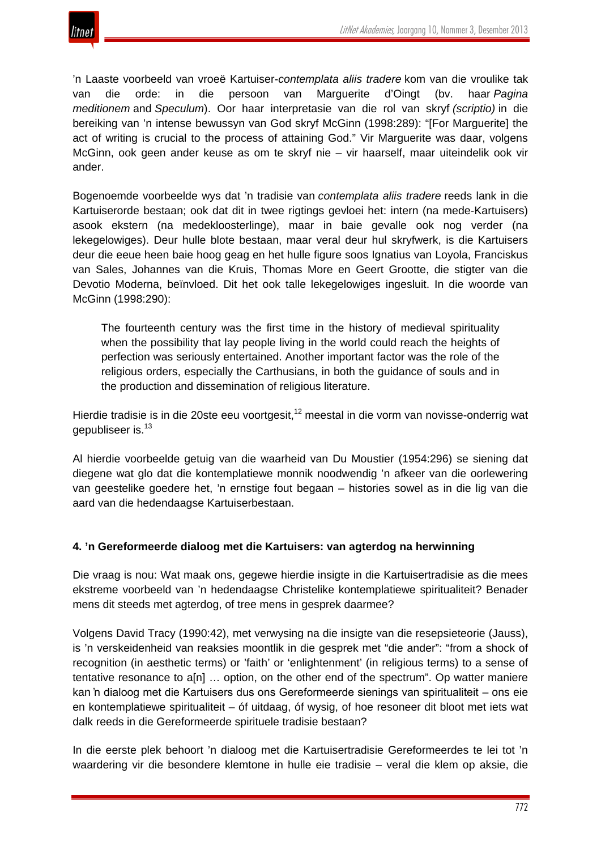

'n Laaste voorbeeld van vroeë Kartuiser-*contemplata aliis tradere* kom van die vroulike tak van die orde: in die persoon van Marguerite d'Oingt (bv. haar *Pagina meditionem* and *Speculum*). Oor haar interpretasie van die rol van skryf *(scriptio)* in die bereiking van 'n intense bewussyn van God skryf McGinn (1998:289): "[For Marguerite] the act of writing is crucial to the process of attaining God." Vir Marguerite was daar, volgens McGinn, ook geen ander keuse as om te skryf nie – vir haarself, maar uiteindelik ook vir ander.

Bogenoemde voorbeelde wys dat 'n tradisie van *contemplata aliis tradere* reeds lank in die Kartuiserorde bestaan; ook dat dit in twee rigtings gevloei het: intern (na mede-Kartuisers) asook ekstern (na medekloosterlinge), maar in baie gevalle ook nog verder (na lekegelowiges). Deur hulle blote bestaan, maar veral deur hul skryfwerk, is die Kartuisers deur die eeue heen baie hoog geag en het hulle figure soos Ignatius van Loyola, Franciskus van Sales, Johannes van die Kruis, Thomas More en Geert Grootte, die stigter van die Devotio Moderna, beïnvloed. Dit het ook talle lekegelowiges ingesluit. In die woorde van McGinn (1998:290):

The fourteenth century was the first time in the history of medieval spirituality when the possibility that lay people living in the world could reach the heights of perfection was seriously entertained. Another important factor was the role of the religious orders, especially the Carthusians, in both the guidance of souls and in the production and dissemination of religious literature.

Hierdie tradisie is in die 20ste eeu voortgesit,<sup>12</sup> meestal in die vorm van novisse-onderrig wat gepubliseer is.<sup>13</sup>

Al hierdie voorbeelde getuig van die waarheid van Du Moustier (1954:296) se siening dat diegene wat glo dat die kontemplatiewe monnik noodwendig 'n afkeer van die oorlewering van geestelike goedere het, 'n ernstige fout begaan – histories sowel as in die lig van die aard van die hedendaagse Kartuiserbestaan.

#### **4. 'n Gereformeerde dialoog met die Kartuisers: van agterdog na herwinning**

Die vraag is nou: Wat maak ons, gegewe hierdie insigte in die Kartuisertradisie as die mees ekstreme voorbeeld van 'n hedendaagse Christelike kontemplatiewe spiritualiteit? Benader mens dit steeds met agterdog, of tree mens in gesprek daarmee?

Volgens David Tracy (1990:42), met verwysing na die insigte van die resepsieteorie (Jauss), is 'n verskeidenheid van reaksies moontlik in die gesprek met "die ander": "from a shock of recognition (in aesthetic terms) or 'faith' or 'enlightenment' (in religious terms) to a sense of tentative resonance to a[n] … option, on the other end of the spectrum". Op watter maniere kan 'n dialoog met die Kartuisers dus ons Gereformeerde sienings van spiritualiteit – ons eie en kontemplatiewe spiritualiteit – óf uitdaag, óf wysig, of hoe resoneer dit bloot met iets wat dalk reeds in die Gereformeerde spirituele tradisie bestaan?

In die eerste plek behoort 'n dialoog met die Kartuisertradisie Gereformeerdes te lei tot 'n waardering vir die besondere klemtone in hulle eie tradisie – veral die klem op aksie, die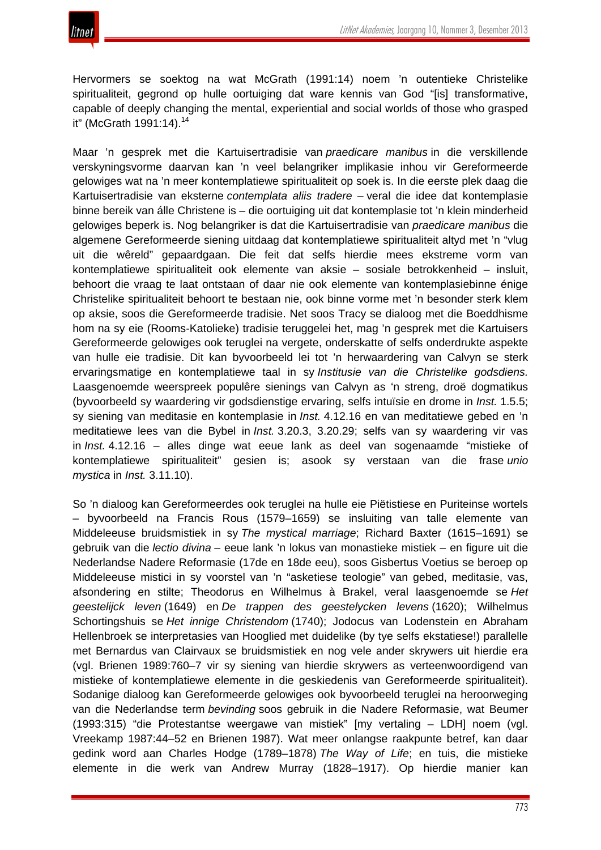Hervormers se soektog na wat McGrath (1991:14) noem 'n outentieke Christelike spiritualiteit, gegrond op hulle oortuiging dat ware kennis van God "[is] transformative, capable of deeply changing the mental, experiential and social worlds of those who grasped it" (McGrath 1991:14).<sup>14</sup>

Maar 'n gesprek met die Kartuisertradisie van *praedicare manibus* in die verskillende verskyningsvorme daarvan kan 'n veel belangriker implikasie inhou vir Gereformeerde gelowiges wat na 'n meer kontemplatiewe spiritualiteit op soek is. In die eerste plek daag die Kartuisertradisie van eksterne *contemplata aliis tradere –* veral die idee dat kontemplasie binne bereik van álle Christene is – die oortuiging uit dat kontemplasie tot 'n klein minderheid gelowiges beperk is. Nog belangriker is dat die Kartuisertradisie van *praedicare manibus* die algemene Gereformeerde siening uitdaag dat kontemplatiewe spiritualiteit altyd met 'n "vlug uit die wêreld" gepaardgaan. Die feit dat selfs hierdie mees ekstreme vorm van kontemplatiewe spiritualiteit ook elemente van aksie – sosiale betrokkenheid – insluit, behoort die vraag te laat ontstaan of daar nie ook elemente van kontemplasiebinne énige Christelike spiritualiteit behoort te bestaan nie, ook binne vorme met 'n besonder sterk klem op aksie, soos die Gereformeerde tradisie. Net soos Tracy se dialoog met die Boeddhisme hom na sy eie (Rooms-Katolieke) tradisie teruggelei het, mag 'n gesprek met die Kartuisers Gereformeerde gelowiges ook teruglei na vergete, onderskatte of selfs onderdrukte aspekte van hulle eie tradisie. Dit kan byvoorbeeld lei tot 'n herwaardering van Calvyn se sterk ervaringsmatige en kontemplatiewe taal in sy *Institusie van die Christelike godsdiens.* Laasgenoemde weerspreek populêre sienings van Calvyn as 'n streng, droë dogmatikus (byvoorbeeld sy waardering vir godsdienstige ervaring, selfs intuïsie en drome in *Inst.* 1.5.5; sy siening van meditasie en kontemplasie in *Inst.* 4.12.16 en van meditatiewe gebed en 'n meditatiewe lees van die Bybel in *Inst.* 3.20.3, 3.20.29; selfs van sy waardering vir vas in *Inst.* 4.12.16 – alles dinge wat eeue lank as deel van sogenaamde "mistieke of kontemplatiewe spiritualiteit" gesien is; asook sy verstaan van die frase *unio mystica* in *Inst.* 3.11.10).

So 'n dialoog kan Gereformeerdes ook teruglei na hulle eie Piëtistiese en Puriteinse wortels – byvoorbeeld na Francis Rous (1579–1659) se insluiting van talle elemente van Middeleeuse bruidsmistiek in sy *The mystical marriage*; Richard Baxter (1615–1691) se gebruik van die *lectio divina* – eeue lank 'n lokus van monastieke mistiek – en figure uit die Nederlandse Nadere Reformasie (17de en 18de eeu), soos Gisbertus Voetius se beroep op Middeleeuse mistici in sy voorstel van 'n "asketiese teologie" van gebed, meditasie, vas, afsondering en stilte; Theodorus en Wilhelmus à Brakel, veral laasgenoemde se *Het geestelijck leven* (1649) en *De trappen des geestelycken levens* (1620); Wilhelmus Schortingshuis se *Het innige Christendom* (1740); Jodocus van Lodenstein en Abraham Hellenbroek se interpretasies van Hooglied met duidelike (by tye selfs ekstatiese!) parallelle met Bernardus van Clairvaux se bruidsmistiek en nog vele ander skrywers uit hierdie era (vgl. Brienen 1989:760–7 vir sy siening van hierdie skrywers as verteenwoordigend van mistieke of kontemplatiewe elemente in die geskiedenis van Gereformeerde spiritualiteit). Sodanige dialoog kan Gereformeerde gelowiges ook byvoorbeeld teruglei na heroorweging van die Nederlandse term *bevinding* soos gebruik in die Nadere Reformasie, wat Beumer (1993:315) "die Protestantse weergawe van mistiek" [my vertaling – LDH] noem (vgl. Vreekamp 1987:44–52 en Brienen 1987). Wat meer onlangse raakpunte betref, kan daar gedink word aan Charles Hodge (1789–1878) *The Way of Life*; en tuis, die mistieke elemente in die werk van Andrew Murray (1828–1917). Op hierdie manier kan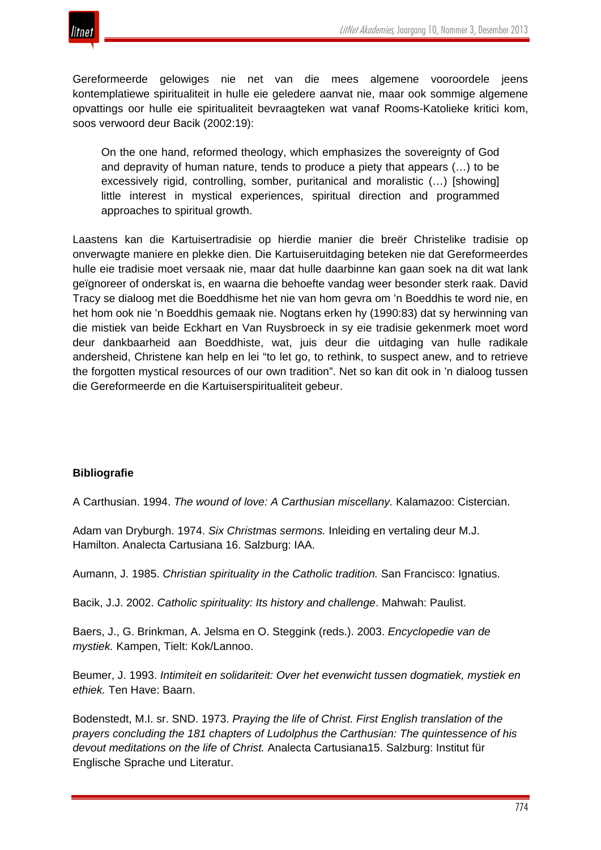

Gereformeerde gelowiges nie net van die mees algemene vooroordele jeens kontemplatiewe spiritualiteit in hulle eie geledere aanvat nie, maar ook sommige algemene opvattings oor hulle eie spiritualiteit bevraagteken wat vanaf Rooms-Katolieke kritici kom, soos verwoord deur Bacik (2002:19):

On the one hand, reformed theology, which emphasizes the sovereignty of God and depravity of human nature, tends to produce a piety that appears (…) to be excessively rigid, controlling, somber, puritanical and moralistic (…) [showing] little interest in mystical experiences, spiritual direction and programmed approaches to spiritual growth.

Laastens kan die Kartuisertradisie op hierdie manier die breër Christelike tradisie op onverwagte maniere en plekke dien. Die Kartuiseruitdaging beteken nie dat Gereformeerdes hulle eie tradisie moet versaak nie, maar dat hulle daarbinne kan gaan soek na dit wat lank geïgnoreer of onderskat is, en waarna die behoefte vandag weer besonder sterk raak. David Tracy se dialoog met die Boeddhisme het nie van hom gevra om 'n Boeddhis te word nie, en het hom ook nie 'n Boeddhis gemaak nie. Nogtans erken hy (1990:83) dat sy herwinning van die mistiek van beide Eckhart en Van Ruysbroeck in sy eie tradisie gekenmerk moet word deur dankbaarheid aan Boeddhiste, wat, juis deur die uitdaging van hulle radikale andersheid, Christene kan help en lei "to let go, to rethink, to suspect anew, and to retrieve the forgotten mystical resources of our own tradition". Net so kan dit ook in 'n dialoog tussen die Gereformeerde en die Kartuiserspiritualiteit gebeur.

#### **Bibliografie**

A Carthusian. 1994. *The wound of love: A Carthusian miscellany.* Kalamazoo: Cistercian.

Adam van Dryburgh. 1974. *Six Christmas sermons.* Inleiding en vertaling deur M.J. Hamilton. Analecta Cartusiana 16. Salzburg: IAA.

Aumann, J. 1985. *Christian spirituality in the Catholic tradition.* San Francisco: Ignatius.

Bacik, J.J. 2002. *Catholic spirituality: Its history and challenge*. Mahwah: Paulist.

Baers, J., G. Brinkman, A. Jelsma en O. Steggink (reds.). 2003. *Encyclopedie van de mystiek.* Kampen, Tielt: Kok/Lannoo.

Beumer, J. 1993. *Intimiteit en solidariteit: Over het evenwicht tussen dogmatiek, mystiek en ethiek.* Ten Have: Baarn.

Bodenstedt, M.I. sr. SND. 1973. *Praying the life of Christ. First English translation of the prayers concluding the 181 chapters of Ludolphus the Carthusian: The quintessence of his devout meditations on the life of Christ.* Analecta Cartusiana15. Salzburg: Institut für Englische Sprache und Literatur.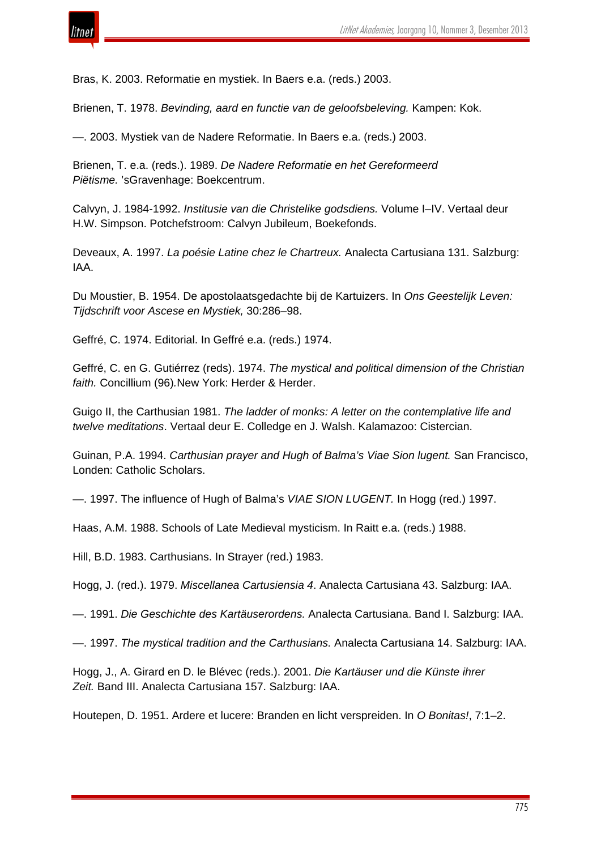

Bras, K. 2003. Reformatie en mystiek. In Baers e.a. (reds.) 2003.

Brienen, T. 1978. *Bevinding, aard en functie van de geloofsbeleving.* Kampen: Kok.

—. 2003. Mystiek van de Nadere Reformatie. In Baers e.a. (reds.) 2003.

Brienen, T. e.a. (reds.). 1989. *De Nadere Reformatie en het Gereformeerd Piëtisme.* 'sGravenhage: Boekcentrum.

Calvyn, J. 1984-1992. *Institusie van die Christelike godsdiens.* Volume I–IV. Vertaal deur H.W. Simpson. Potchefstroom: Calvyn Jubileum, Boekefonds.

Deveaux, A. 1997. *La poésie Latine chez le Chartreux.* Analecta Cartusiana 131. Salzburg: IAA.

Du Moustier, B. 1954. De apostolaatsgedachte bij de Kartuizers. In *Ons Geestelijk Leven: Tijdschrift voor Ascese en Mystiek,* 30:286–98.

Geffré, C. 1974. Editorial. In Geffré e.a. (reds.) 1974.

Geffré, C. en G. Gutiérrez (reds). 1974. *The mystical and political dimension of the Christian faith.* Concillium (96)*.*New York: Herder & Herder.

Guigo II, the Carthusian 1981. *The ladder of monks: A letter on the contemplative life and twelve meditations*. Vertaal deur E. Colledge en J. Walsh. Kalamazoo: Cistercian.

Guinan, P.A. 1994. *Carthusian prayer and Hugh of Balma's Viae Sion lugent.* San Francisco, Londen: Catholic Scholars.

—. 1997. The influence of Hugh of Balma's *VIAE SION LUGENT.* In Hogg (red.) 1997.

Haas, A.M. 1988. Schools of Late Medieval mysticism. In Raitt e.a. (reds.) 1988.

Hill, B.D. 1983. Carthusians. In Strayer (red.) 1983.

Hogg, J. (red.). 1979. *Miscellanea Cartusiensia 4*. Analecta Cartusiana 43. Salzburg: IAA.

—. 1991. *Die Geschichte des Kartäuserordens.* Analecta Cartusiana. Band I. Salzburg: IAA.

—. 1997. *The mystical tradition and the Carthusians.* Analecta Cartusiana 14. Salzburg: IAA.

Hogg, J., A. Girard en D. le Blévec (reds.). 2001. *Die Kartäuser und die Künste ihrer Zeit.* Band III. Analecta Cartusiana 157. Salzburg: IAA.

Houtepen, D. 1951. Ardere et lucere: Branden en licht verspreiden. In *O Bonitas!*, 7:1–2.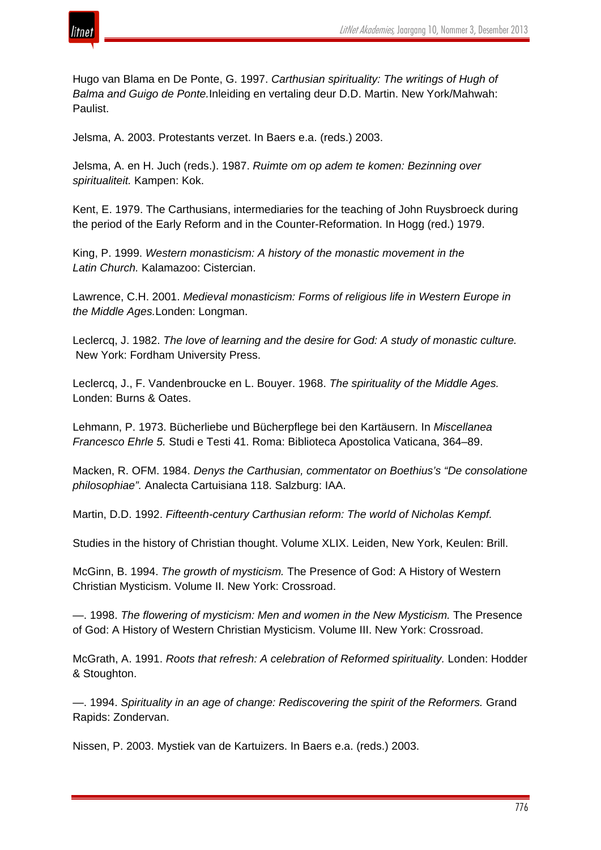

Hugo van Blama en De Ponte, G. 1997. *Carthusian spirituality: The writings of Hugh of Balma and Guigo de Ponte.*Inleiding en vertaling deur D.D. Martin. New York/Mahwah: Paulist.

Jelsma, A. 2003. Protestants verzet. In Baers e.a. (reds.) 2003.

Jelsma, A. en H. Juch (reds.). 1987. *Ruimte om op adem te komen: Bezinning over spiritualiteit.* Kampen: Kok.

Kent, E. 1979. The Carthusians, intermediaries for the teaching of John Ruysbroeck during the period of the Early Reform and in the Counter-Reformation. In Hogg (red.) 1979.

King, P. 1999. *Western monasticism: A history of the monastic movement in the Latin Church.* Kalamazoo: Cistercian.

Lawrence, C.H. 2001. *Medieval monasticism: Forms of religious life in Western Europe in the Middle Ages.*Londen: Longman.

Leclercq, J. 1982. *The love of learning and the desire for God: A study of monastic culture.* New York: Fordham University Press.

Leclercq, J., F. Vandenbroucke en L. Bouyer. 1968. *The spirituality of the Middle Ages.* Londen: Burns & Oates.

Lehmann, P. 1973. Bücherliebe und Bücherpflege bei den Kartäusern. In *Miscellanea Francesco Ehrle 5.* Studi e Testi 41. Roma: Biblioteca Apostolica Vaticana, 364–89.

Macken, R. OFM. 1984. *Denys the Carthusian, commentator on Boethius's "De consolatione philosophiae".* Analecta Cartuisiana 118. Salzburg: IAA.

Martin, D.D. 1992. *Fifteenth-century Carthusian reform: The world of Nicholas Kempf.*

Studies in the history of Christian thought. Volume XLIX. Leiden, New York, Keulen: Brill.

McGinn, B. 1994. *The growth of mysticism.* The Presence of God: A History of Western Christian Mysticism. Volume II. New York: Crossroad.

—. 1998. *The flowering of mysticism: Men and women in the New Mysticism.* The Presence of God: A History of Western Christian Mysticism. Volume III. New York: Crossroad.

McGrath, A. 1991. *Roots that refresh: A celebration of Reformed spirituality.* Londen: Hodder & Stoughton.

—. 1994. *Spirituality in an age of change: Rediscovering the spirit of the Reformers.* Grand Rapids: Zondervan.

Nissen, P. 2003. Mystiek van de Kartuizers. In Baers e.a. (reds.) 2003.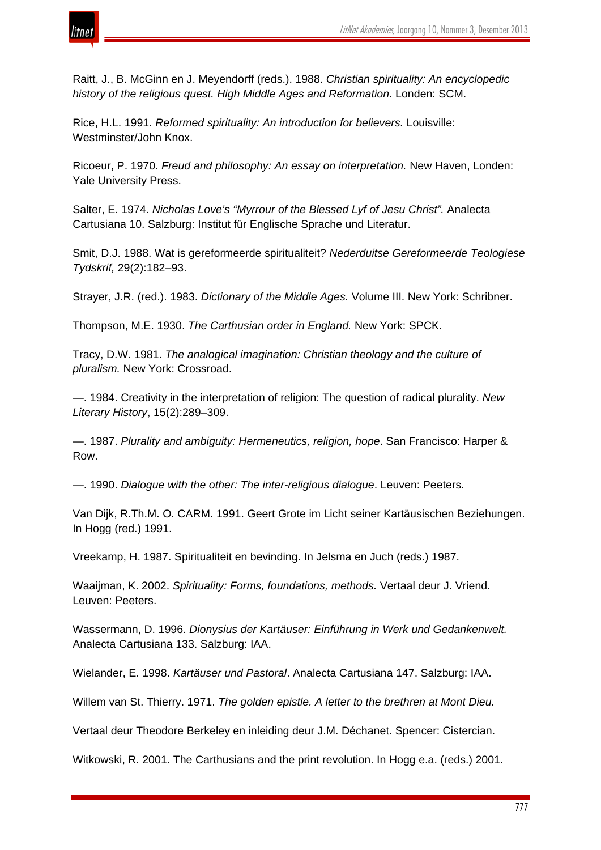

Raitt, J., B. McGinn en J. Meyendorff (reds.). 1988. *Christian spirituality: An encyclopedic history of the religious quest. High Middle Ages and Reformation.* Londen: SCM.

Rice, H.L. 1991. *Reformed spirituality: An introduction for believers.* Louisville: Westminster/John Knox.

Ricoeur, P. 1970. *Freud and philosophy: An essay on interpretation.* New Haven, Londen: Yale University Press.

Salter, E. 1974. *Nicholas Love's "Myrrour of the Blessed Lyf of Jesu Christ".* Analecta Cartusiana 10. Salzburg: Institut für Englische Sprache und Literatur.

Smit, D.J. 1988. Wat is gereformeerde spiritualiteit? *Nederduitse Gereformeerde Teologiese Tydskrif,* 29(2):182–93.

Strayer, J.R. (red.). 1983. *Dictionary of the Middle Ages.* Volume III. New York: Schribner.

Thompson, M.E. 1930. *The Carthusian order in England.* New York: SPCK.

Tracy, D.W. 1981. *The analogical imagination: Christian theology and the culture of pluralism.* New York: Crossroad.

—. 1984. Creativity in the interpretation of religion: The question of radical plurality. *New Literary History*, 15(2):289–309.

—. 1987. *Plurality and ambiguity: Hermeneutics, religion, hope*. San Francisco: Harper & Row.

—. 1990. *Dialogue with the other: The inter-religious dialogue*. Leuven: Peeters.

Van Dijk, R.Th.M. O. CARM. 1991. Geert Grote im Licht seiner Kartäusischen Beziehungen. In Hogg (red.) 1991.

Vreekamp, H. 1987. Spiritualiteit en bevinding. In Jelsma en Juch (reds.) 1987.

Waaijman, K. 2002. *Spirituality: Forms, foundations, methods.* Vertaal deur J. Vriend. Leuven: Peeters.

Wassermann, D. 1996. *Dionysius der Kartäuser: Einführung in Werk und Gedankenwelt.* Analecta Cartusiana 133. Salzburg: IAA.

Wielander, E. 1998. *Kartäuser und Pastoral*. Analecta Cartusiana 147. Salzburg: IAA.

Willem van St. Thierry. 1971. *The golden epistle. A letter to the brethren at Mont Dieu.*

Vertaal deur Theodore Berkeley en inleiding deur J.M. Déchanet. Spencer: Cistercian.

Witkowski, R. 2001. The Carthusians and the print revolution. In Hogg e.a. (reds.) 2001.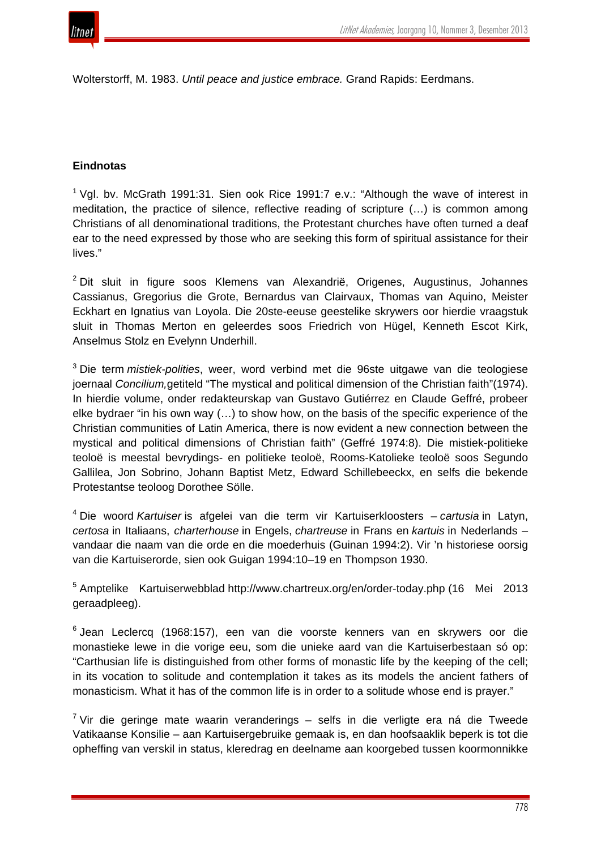

Wolterstorff, M. 1983. *Until peace and justice embrace.* Grand Rapids: Eerdmans.

### **Eindnotas**

 $1$  Vgl. by. McGrath 1991:31. Sien ook Rice 1991:7 e.v.: "Although the wave of interest in meditation, the practice of silence, reflective reading of scripture (…) is common among Christians of all denominational traditions, the Protestant churches have often turned a deaf ear to the need expressed by those who are seeking this form of spiritual assistance for their lives."

 $2$  Dit sluit in figure soos Klemens van Alexandrië, Origenes, Augustinus, Johannes Cassianus, Gregorius die Grote, Bernardus van Clairvaux, Thomas van Aquino, Meister Eckhart en Ignatius van Loyola. Die 20ste-eeuse geestelike skrywers oor hierdie vraagstuk sluit in Thomas Merton en geleerdes soos Friedrich von Hügel, Kenneth Escot Kirk, Anselmus Stolz en Evelynn Underhill.

<sup>3</sup> Die term *mistiek-polities*, weer, word verbind met die 96ste uitgawe van die teologiese joernaal *Concilium,*getiteld "The mystical and political dimension of the Christian faith"(1974). In hierdie volume, onder redakteurskap van Gustavo Gutiérrez en Claude Geffré, probeer elke bydraer "in his own way (…) to show how, on the basis of the specific experience of the Christian communities of Latin America, there is now evident a new connection between the mystical and political dimensions of Christian faith" (Geffré 1974:8). Die mistiek-politieke teoloë is meestal bevrydings- en politieke teoloë, Rooms-Katolieke teoloë soos Segundo Gallilea, Jon Sobrino, Johann Baptist Metz, Edward Schillebeeckx, en selfs die bekende Protestantse teoloog Dorothee Sölle.

<sup>4</sup> Die woord *Kartuiser* is afgelei van die term vir Kartuiserkloosters – *cartusia* in Latyn, *certosa* in Italiaans, *charterhouse* in Engels, *chartreuse* in Frans en *kartuis* in Nederlands – vandaar die naam van die orde en die moederhuis (Guinan 1994:2). Vir 'n historiese oorsig van die Kartuiserorde, sien ook Guigan 1994:10–19 en Thompson 1930.

<sup>5</sup> Amptelike Kartuiserwebblad http://www.chartreux.org/en/order-today.php (16 Mei 2013 geraadpleeg).

 $6$  Jean Leclercq (1968:157), een van die voorste kenners van en skrywers oor die monastieke lewe in die vorige eeu, som die unieke aard van die Kartuiserbestaan só op: "Carthusian life is distinguished from other forms of monastic life by the keeping of the cell; in its vocation to solitude and contemplation it takes as its models the ancient fathers of monasticism. What it has of the common life is in order to a solitude whose end is prayer."

 $7$  Vir die geringe mate waarin veranderings – selfs in die verligte era ná die Tweede Vatikaanse Konsilie – aan Kartuisergebruike gemaak is, en dan hoofsaaklik beperk is tot die opheffing van verskil in status, kleredrag en deelname aan koorgebed tussen koormonnikke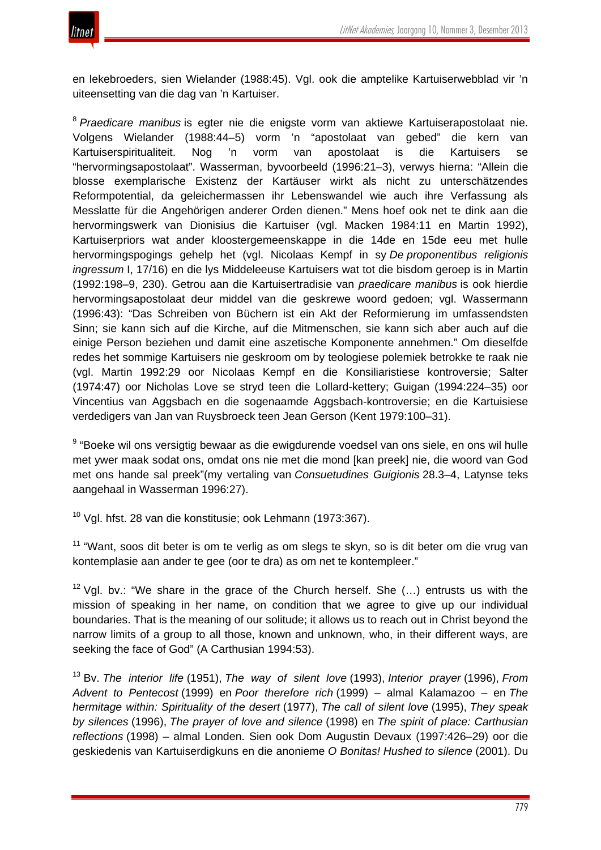

en lekebroeders, sien Wielander (1988:45). Vgl. ook die amptelike Kartuiserwebblad vir 'n uiteensetting van die dag van 'n Kartuiser.

<sup>8</sup> *Praedicare manibus* is egter nie die enigste vorm van aktiewe Kartuiserapostolaat nie. Volgens Wielander (1988:44–5) vorm 'n "apostolaat van gebed" die kern van Kartuiserspiritualiteit. Nog 'n vorm van apostolaat is die Kartuisers se "hervormingsapostolaat". Wasserman, byvoorbeeld (1996:21–3), verwys hierna: "Allein die blosse exemplarische Existenz der Kartäuser wirkt als nicht zu unterschätzendes Reformpotential, da geleichermassen ihr Lebenswandel wie auch ihre Verfassung als Messlatte für die Angehörigen anderer Orden dienen." Mens hoef ook net te dink aan die hervormingswerk van Dionisius die Kartuiser (vgl. Macken 1984:11 en Martin 1992), Kartuiserpriors wat ander kloostergemeenskappe in die 14de en 15de eeu met hulle hervormingspogings gehelp het (vgl. Nicolaas Kempf in sy *De proponentibus religionis ingressum* I, 17/16) en die lys Middeleeuse Kartuisers wat tot die bisdom geroep is in Martin (1992:198–9, 230). Getrou aan die Kartuisertradisie van *praedicare manibus* is ook hierdie hervormingsapostolaat deur middel van die geskrewe woord gedoen; vgl. Wassermann (1996:43): "Das Schreiben von Büchern ist ein Akt der Reformierung im umfassendsten Sinn; sie kann sich auf die Kirche, auf die Mitmenschen, sie kann sich aber auch auf die einige Person beziehen und damit eine aszetische Komponente annehmen." Om dieselfde redes het sommige Kartuisers nie geskroom om by teologiese polemiek betrokke te raak nie (vgl. Martin 1992:29 oor Nicolaas Kempf en die Konsiliaristiese kontroversie; Salter (1974:47) oor Nicholas Love se stryd teen die Lollard-kettery; Guigan (1994:224–35) oor Vincentius van Aggsbach en die sogenaamde Aggsbach-kontroversie; en die Kartuisiese verdedigers van Jan van Ruysbroeck teen Jean Gerson (Kent 1979:100–31).

<sup>9</sup> "Boeke wil ons versigtig bewaar as die ewigdurende voedsel van ons siele, en ons wil hulle met ywer maak sodat ons, omdat ons nie met die mond [kan preek] nie, die woord van God met ons hande sal preek"(my vertaling van *Consuetudines Guigionis* 28.3–4, Latynse teks aangehaal in Wasserman 1996:27).

 $10$  Vgl. hfst. 28 van die konstitusie; ook Lehmann (1973:367).

 $11$  "Want, soos dit beter is om te verlig as om slegs te skyn, so is dit beter om die vrug van kontemplasie aan ander te gee (oor te dra) as om net te kontempleer."

<sup>12</sup> Vgl. bv.: "We share in the grace of the Church herself. She  $(...)$  entrusts us with the mission of speaking in her name, on condition that we agree to give up our individual boundaries. That is the meaning of our solitude; it allows us to reach out in Christ beyond the narrow limits of a group to all those, known and unknown, who, in their different ways, are seeking the face of God" (A Carthusian 1994:53).

<sup>13</sup> Bv. *The interior life* (1951), *The way of silent love* (1993), *Interior prayer* (1996), *From Advent to Pentecost* (1999) en *Poor therefore rich* (1999) – almal Kalamazoo – en *The hermitage within: Spirituality of the desert* (1977), *The call of silent love* (1995), *They speak by silences* (1996), *The prayer of love and silence* (1998) en *The spirit of place: Carthusian reflections* (1998) – almal Londen. Sien ook Dom Augustin Devaux (1997:426–29) oor die geskiedenis van Kartuiserdigkuns en die anonieme *O Bonitas! Hushed to silence* (2001). Du